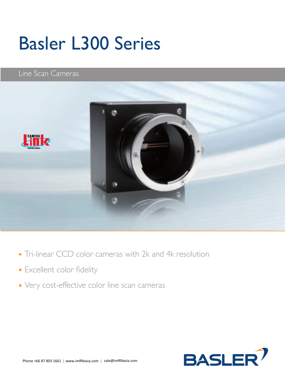# Basler L300 Series

#### Line Scan Cameras



- Tri-linear CCD color cameras with 2k and 4k resolution
- **Excellent color fidelity**
- Very cost-effective color line scan cameras

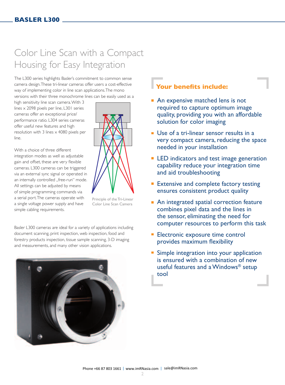### Color Line Scan with a Compact Housing for Easy Integration

The L300 series highlights Basler's commitment to common sense camera design. These tri-linear cameras offer users a cost-effective way of implementing color in line scan applications. The mono versions with their three monochrome lines can be easily used as a

high sensitivity line scan camera. With 3 lines x 2098 pixels per line, L301 series cameras offer an exceptional price/ performance ratio. L304 series cameras offer useful new features and high resolution with 3 lines  $\times$  4080 pixels per line.

With a choice of three different integration modes as well as adjustable gain and offset, these are very flexible cameras. L300 cameras can be triggered via an external sync signal or operated in an internally controlled "free-run" mode. All settings can be adjusted by means of simple programming commands via a serial port. The cameras operate with a single voltage power supply and have simple cabling requirements.



Principle of the Tri-Linear Color Line Scan Camera

Basler L300 cameras are ideal for a variety of applications including document scanning, print inspection, web inspection, food and forestry products inspection, tissue sample scanning, 3-D imaging and measurements, and many other vision applications.



#### **Your benefits include:**

- **An expensive matched lens is not** required to capture optimum image quality, providing you with an affordable solution for color imaging
- Use of a tri-linear sensor results in a very compact camera, reducing the space needed in your installation
- **EXEL** Indicators and test image generation capability reduce your integration time and aid troubleshooting
- **Extensive and complete factory testing** ensures consistent product quality
- An integrated spatial correction feature combines pixel data and the lines in the sensor, eliminating the need for computer resources to perform this task
- **Electronic exposure time control** provides maximum flexibility
- **Simple integration into your application** is ensured with a combination of new useful features and a Windows® setup tool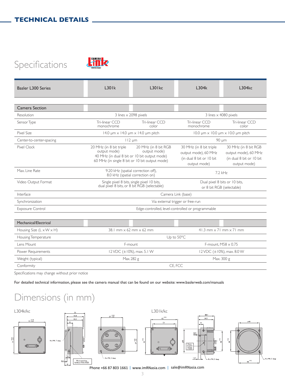# Specifications



| <b>Basler L300 Series</b>            | L301k                                                                                                                                     | $L30$ kc                             | L304k                                                                                       | L304 <sub>kc</sub>                                                                       |
|--------------------------------------|-------------------------------------------------------------------------------------------------------------------------------------------|--------------------------------------|---------------------------------------------------------------------------------------------|------------------------------------------------------------------------------------------|
|                                      |                                                                                                                                           |                                      |                                                                                             |                                                                                          |
| Camera Section                       |                                                                                                                                           |                                      |                                                                                             |                                                                                          |
| Resolution                           | 3 lines x 2098 pixels                                                                                                                     |                                      | 3 lines x 4080 pixels                                                                       |                                                                                          |
| Sensor Type                          | Tri-linear CCD<br>monochrome                                                                                                              | Tri-linear CCD<br>color              | Tri-linear CCD<br>monochrome                                                                | Tri-linear CCD<br>color                                                                  |
| Pixel Size                           | 14.0 $\mu$ m $\times$ 14.0 $\mu$ m $\times$ 14.0 $\mu$ m pitch                                                                            |                                      | $10.0 \mu m \times 10.0 \mu m \times 10.0 \mu m$ pitch                                      |                                                                                          |
| Center-to-center-spacing             | $112 \mu m$                                                                                                                               |                                      | 90 µm                                                                                       |                                                                                          |
| <b>Pixel Clock</b>                   | 20 MHz (in 8 bit triple<br>output mode)<br>40 MHz (in dual 8 bit or 10 bit output mode)<br>60 MHz (in single 8 bit or 10 bit output mode) | 20 MHz (in 8 bit RGB<br>output mode) | 30 MHz (in 8 bit triple<br>output mode), 60 MHz<br>(in dual 8 bit or 10 bit<br>output mode) | 30 MHz (in 8 bit RGB<br>output mode), 60 MHz<br>(in dual 8 bit or 10 bit<br>output mode) |
| Max. Line Rate                       | 9.20 kHz (spatial correction off),<br>8.0 kHz (spatial correction on)                                                                     |                                      | 7.2 kHz                                                                                     |                                                                                          |
| Video Output Format                  | Single pixel 8 bits, single pixel 10 bits,<br>dual pixel 8 bits, or 8 bit RGB (selectable)                                                |                                      | Dual pixel 8 bits or 10 bits,<br>or 8 bit RGB (selectable)                                  |                                                                                          |
| Interface                            | Camera Link (base)                                                                                                                        |                                      |                                                                                             |                                                                                          |
| Synchronization                      | Via external trigger or free-run                                                                                                          |                                      |                                                                                             |                                                                                          |
| <b>Exposure Control</b>              | Edge-controlled, level-controlled or programmable                                                                                         |                                      |                                                                                             |                                                                                          |
|                                      |                                                                                                                                           |                                      |                                                                                             |                                                                                          |
| Mechanical/Electrical                |                                                                                                                                           |                                      |                                                                                             |                                                                                          |
| Housing Size $(L \times W \times H)$ | 38.1 mm $\times$ 62 mm $\times$ 62 mm                                                                                                     |                                      | $41.3$ mm $\times$ 71 mm $\times$ 71 mm                                                     |                                                                                          |
| Housing Temperature                  | Up to 50°C                                                                                                                                |                                      |                                                                                             |                                                                                          |
| Lens Mount                           | F-mount                                                                                                                                   |                                      | F-mount, $M58 \times 0.75$                                                                  |                                                                                          |
| Power Requirements                   | 12 VDC (±10%), max. 5.1 W                                                                                                                 |                                      | 12 VDC (±10%), max, 8.0 W                                                                   |                                                                                          |
| Weight (typical)                     | Max, 282 g                                                                                                                                |                                      | Max, 300 g                                                                                  |                                                                                          |
| Conformity                           | CE. FCC                                                                                                                                   |                                      |                                                                                             |                                                                                          |

Specifications may change without prior notice

For detailed technical information, please see the camera manual that can be found on our website: www.baslerweb.com/manuals

# Dimensions (in mm)



Phone +66 87 803 1661 | www.imRNasia.com | sale@imRNasia.com